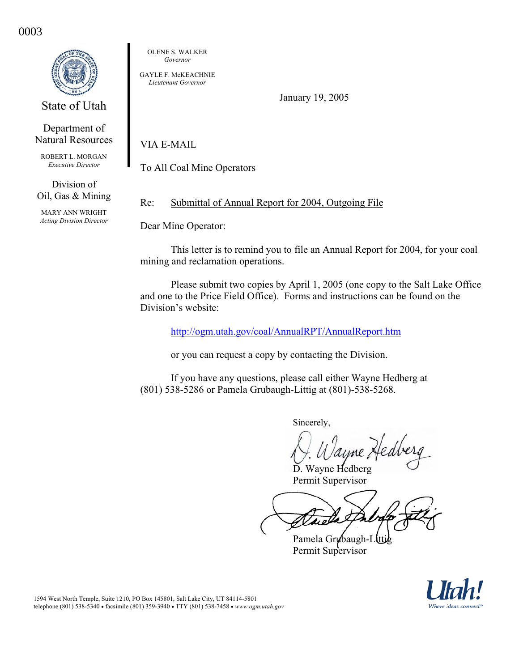0003

State of Utah

Department of Natural Resources

ROBERT L. MORGAN *Executive Director* 

Division of Oil, Gas & Mining

MARY ANN WRIGHT *Acting Division Director*  OLENE S. WALKER *Governor* 

GAYLE F. McKEACHNIE *Lieutenant Governor* 

January 19, 2005

VIA E-MAIL

To All Coal Mine Operators

Re: Submittal of Annual Report for 2004, Outgoing File

Dear Mine Operator:

 This letter is to remind you to file an Annual Report for 2004, for your coal mining and reclamation operations.

Please submit two copies by April 1, 2005 (one copy to the Salt Lake Office and one to the Price Field Office). Forms and instructions can be found on the Division's website:

http://ogm.utah.gov/coal/AnnualRPT/AnnualReport.htm

or you can request a copy by contacting the Division.

If you have any questions, please call either Wayne Hedberg at (801) 538-5286 or Pamela Grubaugh-Littig at (801)-538-5268.

Sincerely,

Wavne Hedberg Permit Supervisor

Pamela Grubaugh-L Permit Supervisor

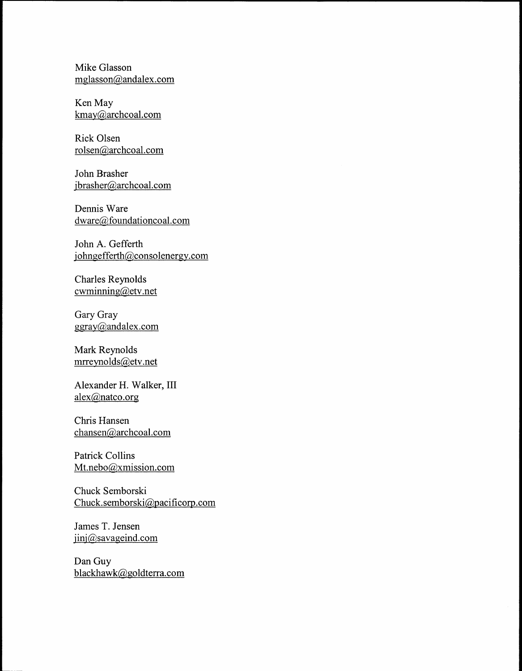Mike Glasson mglasson@andalex.com

Ken May kmay@archcoal.com

Rick Olsen rolsen@archcoal.com

John Brasher jbrasher@archcoal.com

Dennis Ware dware@foundationcoal.com

John A. Gefferth johngefferth@consolenergy.com

Charles Reynolds  $c$ wminning @ etv.net

Gary Gray ggray@andalex.com

Mark Reynolds mrreynolds@etv .net

Alexander H. Walker, III alex@natco.org

Chris Hansen chansen@archcoal.com

Patrick Collins Mt.nebo@xmission.com

Chuck Semborski Chuck.semborski@pacificorp.com

James T. Jensen jinj@savageind.com

Dan Guy blackhawk@goldterra.com